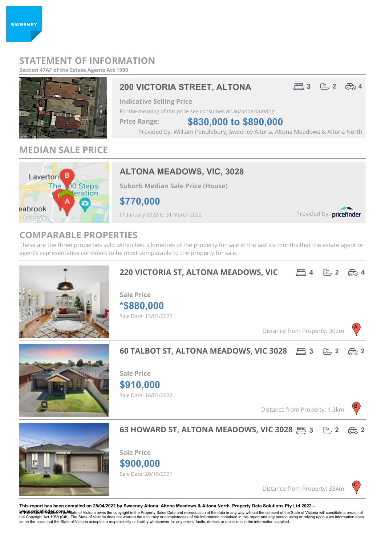## **STATEMENT OF INFORMATION**

**Section 47AF of the Estate Agents Act 1980**



## **MEDIAN SALE PRICE**



## **ALTONA MEADOWS, VIC, 3028**

**Suburb Median Sale Price (House)**

**\$770,000**

01 January 2022 to 31 March 2022

Provided by: pricefinder

## **COMPARABLE PROPERTIES**

These are the three properties sold within two kilometres of the property for sale in the last six months that the estate agent or agent's representative considers to be most comparable to the property for sale.



**This report has been compiled on 28/04/2022 by Sweeney Altona, Altona Meadows & Altona North. Property Data Solutions Pty Ltd 2022 -**

**৺\\*\%'-Bricet/i vtEt/n2C\*Re%**tate of Victoria owns the copyright in the Property Sales Data and reproduction of the data in any way without the consent of the State of Victoria will constitute a breach of<br>the Copyright so on the basis that the State of Victoria accepts no responsibility or liability whatsoever for any errors, faults, defects or omissions in the information supplied.